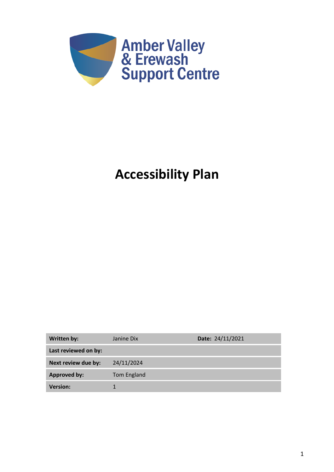

# **Accessibility Plan**

| <b>Written by:</b>   | Janine Dix  | Date: 24/11/2021 |
|----------------------|-------------|------------------|
| Last reviewed on by: |             |                  |
| Next review due by:  | 24/11/2024  |                  |
| <b>Approved by:</b>  | Tom England |                  |
| <b>Version:</b>      |             |                  |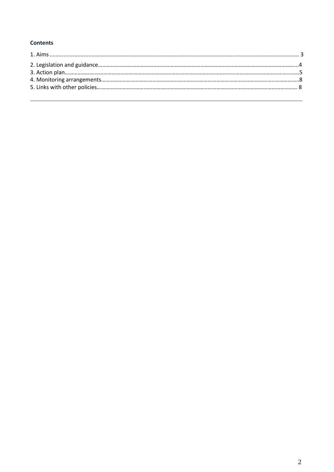### **Contents**

<span id="page-1-0"></span>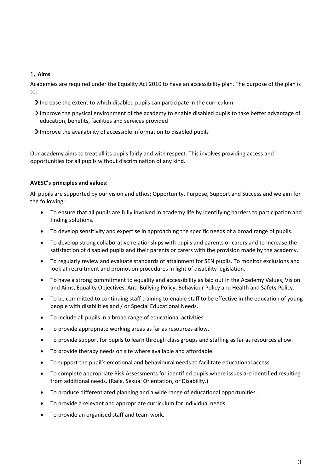#### <sup>1</sup>. **Aims**

Academies are required under the Equality Act 2010 to have an accessibility plan. The purpose of the plan is to:

- Increase the extent to which disabled pupils can participate in the curriculum
- Improve the physical environment of the academy to enable disabled pupils to take better advantage of education, benefits, facilities and services provided
- Improve the availability of accessible information to disabled pupils

Our academy aims to treat all its pupils fairly and with respect. This involves providing access and opportunities for all pupils without discrimination of any kind.

#### **AVESC's principles and values:**

All pupils are supported by our vision and ethos; Opportunity, Purpose, Support and Success and we aim for the following:

- To ensure that all pupils are fully involved in academy life by identifying barriers to participation and finding solutions.
- To develop sensitivity and expertise in approaching the specific needs of a broad range of pupils.
- To develop strong collaborative relationships with pupils and parents or carers and to increase the satisfaction of disabled pupils and their parents or carers with the provision made by the academy.
- To regularly review and evaluate standards of attainment for SEN pupils. To monitor exclusions and look at recruitment and promotion procedures in light of disability legislation.
- To have a strong commitment to equality and accessibility as laid out in the Academy Values, Vision and Aims, Equality Objectives, Anti-Bullying Policy, Behaviour Policy and Health and Safety Policy.
- To be committed to continuing staff training to enable staff to be effective in the education of young people with disabilities and / or Special Educational Needs.
- To include all pupils in a broad range of educational activities.
- To provide appropriate working areas as far as resources allow.
- To provide support for pupils to learn through class groups and staffing as far as resources allow.
- To provide therapy needs on site where available and affordable.
- To support the pupil's emotional and behavioural needs to facilitate educational access.
- To complete appropriate Risk Assessments for identified pupils where issues are identified resulting from additional needs. (Race, Sexual Orientation, or Disability.)
- To produce differentiated planning and a wide range of educational opportunities.
- To provide a relevant and appropriate curriculum for individual needs.
- To provide an organised staff and team work.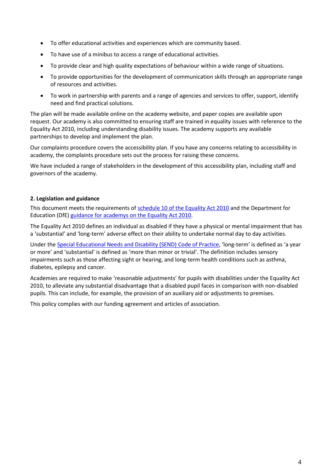- To offer educational activities and experiences which are community based.
- To have use of a minibus to access a range of educational activities.
- To provide clear and high quality expectations of behaviour within a wide range of situations.
- To provide opportunities for the development of communication skills through an appropriate range of resources and activities.
- To work in partnership with parents and a range of agencies and services to offer, support, identify need and find practical solutions.

The plan will be made available online on the academy website, and paper copies are available upon request. Our academy is also committed to ensuring staff are trained in equality issues with reference to the Equality Act 2010, including understanding disability issues. The academy supports any available partnerships to develop and implement the plan.

Our complaints procedure covers the accessibility plan. If you have any concerns relating to accessibility in academy, the complaints procedure sets out the process for raising these concerns.

We have included a range of stakeholders in the development of this accessibility plan, including staff and governors of the academy.

#### **2. Legislation and guidance**

This document meets the requirements of [schedule 10 of the](http://www.legislation.gov.uk/ukpga/2010/15/schedule/10) Equality Act 2010 and the Department for Education (DfE[\) guidance for academys on the](https://www.gov.uk/government/publications/equality-act-2010-advice-for-schools) Equality Act 2010.

The Equality Act 2010 defines an individual as disabled if they have a physical or mental impairment that has a 'substantial' and 'long-term' adverse effect on their ability to undertake normal day to day activities.

Under th[e Special Educational Needs and Disability \(SEND\) Code of Practice](https://www.gov.uk/government/publications/send-code-of-practice-0-to-25), 'long-term' is defined as 'a year or more' and 'substantial' is defined as 'more than minor or trivial'. The definition includes sensory impairments such as those affecting sight or hearing, and long-term health conditions such as asthma, diabetes, epilepsy and cancer.

Academies are required to make 'reasonable adjustments' for pupils with disabilities under the Equality Act 2010, to alleviate any substantial disadvantage that a disabled pupil faces in comparison with non-disabled pupils. This can include, for example, the provision of an auxiliary aid or adjustments to premises.

This policy complies with our funding agreement and articles of association.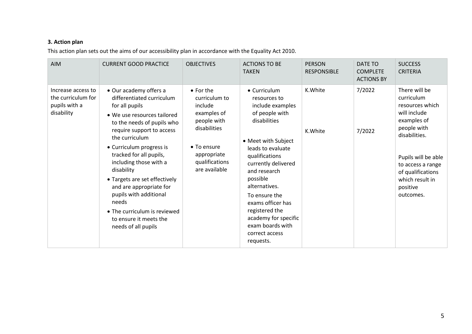# **3. Action plan**

This action plan sets out the aims of our accessibility plan in accordance with the Equality Act 2010.

| <b>AIM</b>                                                              | <b>CURRENT GOOD PRACTICE</b>                                                                                                                                                                                                                                                                                                                                                                                                                                     | <b>OBJECTIVES</b>                                                                                                                                            | <b>ACTIONS TO BE</b><br><b>TAKEN</b>                                                                                                                                                                                                                                                                                                                    | <b>PERSON</b><br><b>RESPONSIBLE</b> | <b>DATE TO</b><br><b>COMPLETE</b><br><b>ACTIONS BY</b> | <b>SUCCESS</b><br><b>CRITERIA</b>                                                                                                                                                                                          |
|-------------------------------------------------------------------------|------------------------------------------------------------------------------------------------------------------------------------------------------------------------------------------------------------------------------------------------------------------------------------------------------------------------------------------------------------------------------------------------------------------------------------------------------------------|--------------------------------------------------------------------------------------------------------------------------------------------------------------|---------------------------------------------------------------------------------------------------------------------------------------------------------------------------------------------------------------------------------------------------------------------------------------------------------------------------------------------------------|-------------------------------------|--------------------------------------------------------|----------------------------------------------------------------------------------------------------------------------------------------------------------------------------------------------------------------------------|
| Increase access to<br>the curriculum for<br>pupils with a<br>disability | • Our academy offers a<br>differentiated curriculum<br>for all pupils<br>• We use resources tailored<br>to the needs of pupils who<br>require support to access<br>the curriculum<br>• Curriculum progress is<br>tracked for all pupils,<br>including those with a<br>disability<br>• Targets are set effectively<br>and are appropriate for<br>pupils with additional<br>needs<br>• The curriculum is reviewed<br>to ensure it meets the<br>needs of all pupils | $\bullet$ For the<br>curriculum to<br>include<br>examples of<br>people with<br>disabilities<br>• To ensure<br>appropriate<br>qualifications<br>are available | • Curriculum<br>resources to<br>include examples<br>of people with<br>disabilities<br>• Meet with Subject<br>leads to evaluate<br>qualifications<br>currently delivered<br>and research<br>possible<br>alternatives.<br>To ensure the<br>exams officer has<br>registered the<br>academy for specific<br>exam boards with<br>correct access<br>requests. | K.White<br>K.White                  | 7/2022<br>7/2022                                       | There will be<br>curriculum<br>resources which<br>will include<br>examples of<br>people with<br>disabilities.<br>Pupils will be able<br>to access a range<br>of qualifications<br>which result in<br>positive<br>outcomes. |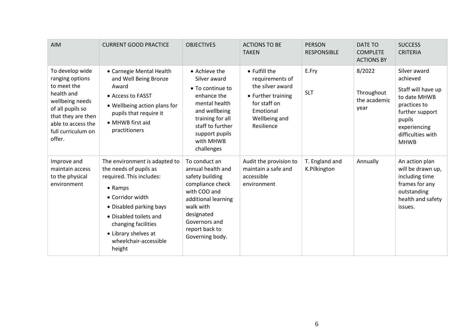| <b>AIM</b>                                                                                                                                                                         | <b>CURRENT GOOD PRACTICE</b>                                                                                                                                                                                                                              | <b>OBJECTIVES</b>                                                                                                                                                                                 | <b>ACTIONS TO BE</b><br><b>TAKEN</b>                                                                                                   | <b>PERSON</b><br><b>RESPONSIBLE</b> | DATE TO<br><b>COMPLETE</b><br><b>ACTIONS BY</b> | <b>SUCCESS</b><br><b>CRITERIA</b>                                                                                                                               |
|------------------------------------------------------------------------------------------------------------------------------------------------------------------------------------|-----------------------------------------------------------------------------------------------------------------------------------------------------------------------------------------------------------------------------------------------------------|---------------------------------------------------------------------------------------------------------------------------------------------------------------------------------------------------|----------------------------------------------------------------------------------------------------------------------------------------|-------------------------------------|-------------------------------------------------|-----------------------------------------------------------------------------------------------------------------------------------------------------------------|
| To develop wide<br>ranging options<br>to meet the<br>health and<br>wellbeing needs<br>of all pupils so<br>that they are then<br>able to access the<br>full curriculum on<br>offer. | • Carnegie Mental Health<br>and Well Being Bronze<br>Award<br>• Access to FASST<br>• Wellbeing action plans for<br>pupils that require it<br>• MHWB first aid<br>practitioners                                                                            | • Achieve the<br>Silver award<br>$\bullet$ To continue to<br>enhance the<br>mental health<br>and wellbeing<br>training for all<br>staff to further<br>support pupils<br>with MHWB<br>challenges   | • Fulfill the<br>requirements of<br>the silver award<br>• Further training<br>for staff on<br>Emotional<br>Wellbeing and<br>Resilience | E.Fry<br><b>SLT</b>                 | 8/2022<br>Throughout<br>the academic<br>year    | Silver award<br>achieved<br>Staff will have up<br>to date MHWB<br>practices to<br>further support<br>pupils<br>experiencing<br>difficulties with<br><b>MHWB</b> |
| Improve and<br>maintain access<br>to the physical<br>environment                                                                                                                   | The environment is adapted to<br>the needs of pupils as<br>required. This includes:<br>• Ramps<br>• Corridor width<br>• Disabled parking bays<br>• Disabled toilets and<br>changing facilities<br>• Library shelves at<br>wheelchair-accessible<br>height | To conduct an<br>annual health and<br>safety building<br>compliance check<br>with COO and<br>additional learning<br>walk with<br>designated<br>Governors and<br>report back to<br>Governing body. | Audit the provision to<br>maintain a safe and<br>accessible<br>environment                                                             | T. England and<br>K.Pilkington      | Annually                                        | An action plan<br>will be drawn up,<br>including time<br>frames for any<br>outstanding<br>health and safety<br>issues.                                          |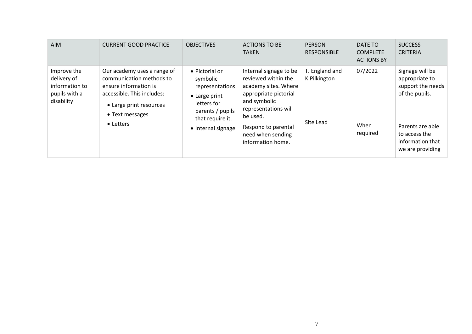| <b>AIM</b>                                                                  | <b>CURRENT GOOD PRACTICE</b>                                                                                                                                              | <b>OBJECTIVES</b>                                                                                                                           | <b>ACTIONS TO BE</b><br><b>TAKEN</b>                                                                                                                                                                                | <b>PERSON</b><br><b>RESPONSIBLE</b>         | DATE TO<br><b>COMPLETE</b><br><b>ACTIONS BY</b> | <b>SUCCESS</b><br><b>CRITERIA</b>                                                                                                                     |
|-----------------------------------------------------------------------------|---------------------------------------------------------------------------------------------------------------------------------------------------------------------------|---------------------------------------------------------------------------------------------------------------------------------------------|---------------------------------------------------------------------------------------------------------------------------------------------------------------------------------------------------------------------|---------------------------------------------|-------------------------------------------------|-------------------------------------------------------------------------------------------------------------------------------------------------------|
| Improve the<br>delivery of<br>information to<br>pupils with a<br>disability | Our academy uses a range of<br>communication methods to<br>ensure information is<br>accessible. This includes:<br>• Large print resources<br>• Text messages<br>• Letters | • Pictorial or<br>symbolic<br>representations<br>• Large print<br>letters for<br>parents / pupils<br>that require it.<br>• Internal signage | Internal signage to be<br>reviewed within the<br>academy sites. Where<br>appropriate pictorial<br>and symbolic<br>representations will<br>be used.<br>Respond to parental<br>need when sending<br>information home. | T. England and<br>K.Pilkington<br>Site Lead | 07/2022<br>When<br>required                     | Signage will be<br>appropriate to<br>support the needs<br>of the pupils.<br>Parents are able<br>to access the<br>information that<br>we are providing |